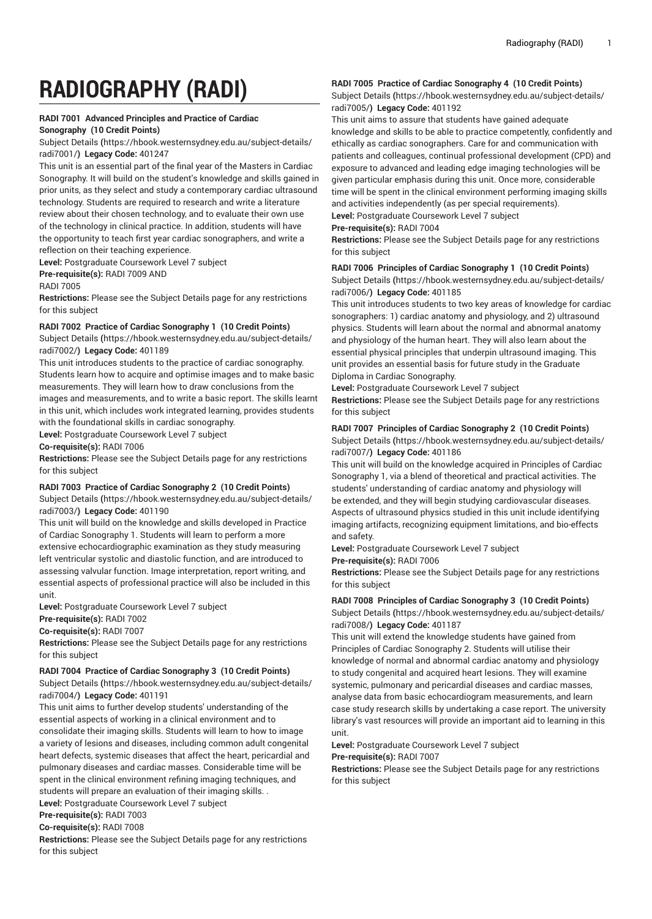# **RADIOGRAPHY (RADI)**

# **RADI 7001 Advanced Principles and Practice of Cardiac**

#### **Sonography (10 Credit Points)**

[Subject Details](https://hbook.westernsydney.edu.au/subject-details/radi7001/) **(**[https://hbook.westernsydney.edu.au/subject-details/](https://hbook.westernsydney.edu.au/subject-details/radi7001/) [radi7001/](https://hbook.westernsydney.edu.au/subject-details/radi7001/)**) Legacy Code:** 401247

This unit is an essential part of the final year of the Masters in Cardiac Sonography. It will build on the student's knowledge and skills gained in prior units, as they select and study a contemporary cardiac ultrasound technology. Students are required to research and write a literature review about their chosen technology, and to evaluate their own use of the technology in clinical practice. In addition, students will have the opportunity to teach first year cardiac sonographers, and write a reflection on their teaching experience.

**Level:** Postgraduate Coursework Level 7 subject

**Pre-requisite(s):** RADI 7009 AND

#### RADI 7005

**Restrictions:** Please see the Subject Details page for any restrictions for this subject

#### **RADI 7002 Practice of Cardiac Sonography 1 (10 Credit Points)**

[Subject Details](https://hbook.westernsydney.edu.au/subject-details/radi7002/) **(**[https://hbook.westernsydney.edu.au/subject-details/](https://hbook.westernsydney.edu.au/subject-details/radi7002/) [radi7002/](https://hbook.westernsydney.edu.au/subject-details/radi7002/)**) Legacy Code:** 401189

This unit introduces students to the practice of cardiac sonography. Students learn how to acquire and optimise images and to make basic measurements. They will learn how to draw conclusions from the images and measurements, and to write a basic report. The skills learnt in this unit, which includes work integrated learning, provides students with the foundational skills in cardiac sonography.

**Level:** Postgraduate Coursework Level 7 subject

**Co-requisite(s):** RADI 7006

**Restrictions:** Please see the Subject Details page for any restrictions for this subject

#### **RADI 7003 Practice of Cardiac Sonography 2 (10 Credit Points)**

[Subject Details](https://hbook.westernsydney.edu.au/subject-details/radi7003/) **(**[https://hbook.westernsydney.edu.au/subject-details/](https://hbook.westernsydney.edu.au/subject-details/radi7003/) [radi7003/](https://hbook.westernsydney.edu.au/subject-details/radi7003/)**) Legacy Code:** 401190

This unit will build on the knowledge and skills developed in Practice of Cardiac Sonography 1. Students will learn to perform a more extensive echocardiographic examination as they study measuring left ventricular systolic and diastolic function, and are introduced to assessing valvular function. Image interpretation, report writing, and essential aspects of professional practice will also be included in this unit.

**Level:** Postgraduate Coursework Level 7 subject

**Pre-requisite(s):** RADI 7002

**Co-requisite(s):** RADI 7007

**Restrictions:** Please see the Subject Details page for any restrictions for this subject

#### **RADI 7004 Practice of Cardiac Sonography 3 (10 Credit Points)**

[Subject Details](https://hbook.westernsydney.edu.au/subject-details/radi7004/) **(**[https://hbook.westernsydney.edu.au/subject-details/](https://hbook.westernsydney.edu.au/subject-details/radi7004/) [radi7004/](https://hbook.westernsydney.edu.au/subject-details/radi7004/)**) Legacy Code:** 401191

This unit aims to further develop students' understanding of the essential aspects of working in a clinical environment and to consolidate their imaging skills. Students will learn to how to image a variety of lesions and diseases, including common adult congenital heart defects, systemic diseases that affect the heart, pericardial and pulmonary diseases and cardiac masses. Considerable time will be spent in the clinical environment refining imaging techniques, and students will prepare an evaluation of their imaging skills. . **Level:** Postgraduate Coursework Level 7 subject

# **Pre-requisite(s):** RADI 7003

**Co-requisite(s):** RADI 7008

**Restrictions:** Please see the Subject Details page for any restrictions for this subject

## **RADI 7005 Practice of Cardiac Sonography 4 (10 Credit Points)**

[Subject Details](https://hbook.westernsydney.edu.au/subject-details/radi7005/) **(**[https://hbook.westernsydney.edu.au/subject-details/](https://hbook.westernsydney.edu.au/subject-details/radi7005/) [radi7005/](https://hbook.westernsydney.edu.au/subject-details/radi7005/)**) Legacy Code:** 401192

This unit aims to assure that students have gained adequate knowledge and skills to be able to practice competently, confidently and ethically as cardiac sonographers. Care for and communication with patients and colleagues, continual professional development (CPD) and exposure to advanced and leading edge imaging technologies will be given particular emphasis during this unit. Once more, considerable time will be spent in the clinical environment performing imaging skills and activities independently (as per special requirements).

**Level:** Postgraduate Coursework Level 7 subject

## **Pre-requisite(s):** RADI 7004

**Restrictions:** Please see the Subject Details page for any restrictions for this subject

#### **RADI 7006 Principles of Cardiac Sonography 1 (10 Credit Points)**

[Subject Details](https://hbook.westernsydney.edu.au/subject-details/radi7006/) **(**[https://hbook.westernsydney.edu.au/subject-details/](https://hbook.westernsydney.edu.au/subject-details/radi7006/) [radi7006/](https://hbook.westernsydney.edu.au/subject-details/radi7006/)**) Legacy Code:** 401185

This unit introduces students to two key areas of knowledge for cardiac sonographers: 1) cardiac anatomy and physiology, and 2) ultrasound physics. Students will learn about the normal and abnormal anatomy and physiology of the human heart. They will also learn about the essential physical principles that underpin ultrasound imaging. This unit provides an essential basis for future study in the Graduate Diploma in Cardiac Sonography.

**Level:** Postgraduate Coursework Level 7 subject

**Restrictions:** Please see the Subject Details page for any restrictions for this subject

# **RADI 7007 Principles of Cardiac Sonography 2 (10 Credit Points)** [Subject Details](https://hbook.westernsydney.edu.au/subject-details/radi7007/) **(**[https://hbook.westernsydney.edu.au/subject-details/](https://hbook.westernsydney.edu.au/subject-details/radi7007/)

[radi7007/](https://hbook.westernsydney.edu.au/subject-details/radi7007/)**) Legacy Code:** 401186 This unit will build on the knowledge acquired in Principles of Cardiac Sonography 1, via a blend of theoretical and practical activities. The students' understanding of cardiac anatomy and physiology will be extended, and they will begin studying cardiovascular diseases. Aspects of ultrasound physics studied in this unit include identifying imaging artifacts, recognizing equipment limitations, and bio-effects and safety.

**Level:** Postgraduate Coursework Level 7 subject

**Pre-requisite(s):** RADI 7006

**Restrictions:** Please see the Subject Details page for any restrictions for this subject

#### **RADI 7008 Principles of Cardiac Sonography 3 (10 Credit Points)** [Subject Details](https://hbook.westernsydney.edu.au/subject-details/radi7008/) **(**[https://hbook.westernsydney.edu.au/subject-details/](https://hbook.westernsydney.edu.au/subject-details/radi7008/) [radi7008/](https://hbook.westernsydney.edu.au/subject-details/radi7008/)**) Legacy Code:** 401187

This unit will extend the knowledge students have gained from Principles of Cardiac Sonography 2. Students will utilise their knowledge of normal and abnormal cardiac anatomy and physiology to study congenital and acquired heart lesions. They will examine systemic, pulmonary and pericardial diseases and cardiac masses, analyse data from basic echocardiogram measurements, and learn case study research skills by undertaking a case report. The university library's vast resources will provide an important aid to learning in this unit.

**Level:** Postgraduate Coursework Level 7 subject

**Pre-requisite(s):** RADI 7007

**Restrictions:** Please see the Subject Details page for any restrictions for this subject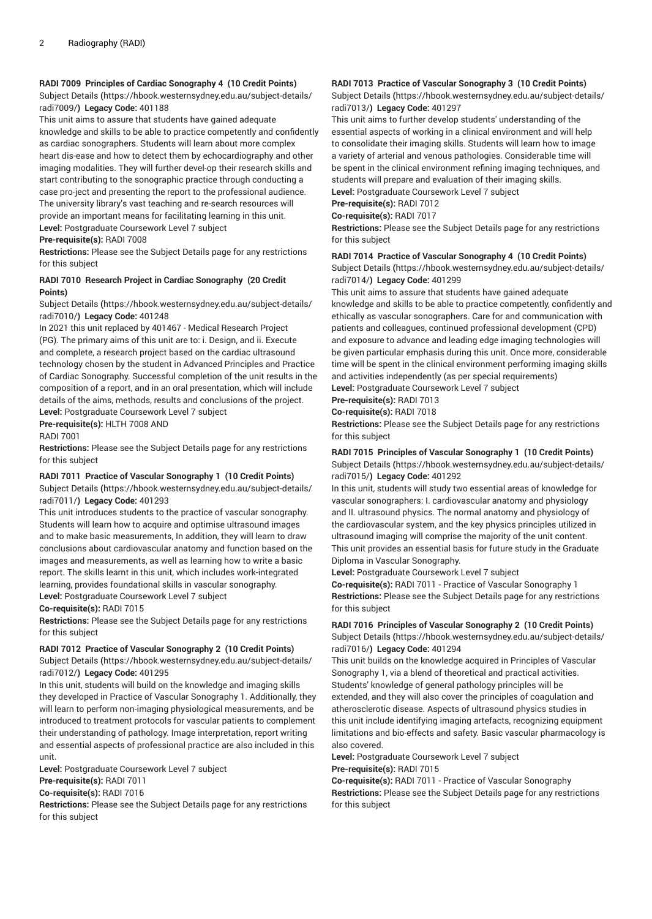#### **RADI 7009 Principles of Cardiac Sonography 4 (10 Credit Points)**

[Subject Details](https://hbook.westernsydney.edu.au/subject-details/radi7009/) **(**[https://hbook.westernsydney.edu.au/subject-details/](https://hbook.westernsydney.edu.au/subject-details/radi7009/) [radi7009/](https://hbook.westernsydney.edu.au/subject-details/radi7009/)**) Legacy Code:** 401188

This unit aims to assure that students have gained adequate knowledge and skills to be able to practice competently and confidently as cardiac sonographers. Students will learn about more complex heart dis-ease and how to detect them by echocardiography and other imaging modalities. They will further devel-op their research skills and start contributing to the sonographic practice through conducting a case pro-ject and presenting the report to the professional audience. The university library's vast teaching and re-search resources will provide an important means for facilitating learning in this unit. **Level:** Postgraduate Coursework Level 7 subject

#### **Pre-requisite(s):** RADI 7008

**Restrictions:** Please see the Subject Details page for any restrictions for this subject

#### **RADI 7010 Research Project in Cardiac Sonography (20 Credit Points)**

[Subject Details](https://hbook.westernsydney.edu.au/subject-details/radi7010/) **(**[https://hbook.westernsydney.edu.au/subject-details/](https://hbook.westernsydney.edu.au/subject-details/radi7010/) [radi7010/](https://hbook.westernsydney.edu.au/subject-details/radi7010/)**) Legacy Code:** 401248

In 2021 this unit replaced by 401467 - Medical Research Project (PG). The primary aims of this unit are to: i. Design, and ii. Execute and complete, a research project based on the cardiac ultrasound technology chosen by the student in Advanced Principles and Practice of Cardiac Sonography. Successful completion of the unit results in the composition of a report, and in an oral presentation, which will include details of the aims, methods, results and conclusions of the project.

**Level:** Postgraduate Coursework Level 7 subject **Pre-requisite(s):** HLTH 7008 AND

# RADI 7001

**Restrictions:** Please see the Subject Details page for any restrictions for this subject

# **RADI 7011 Practice of Vascular Sonography 1 (10 Credit Points)**

[Subject Details](https://hbook.westernsydney.edu.au/subject-details/radi7011/) **(**[https://hbook.westernsydney.edu.au/subject-details/](https://hbook.westernsydney.edu.au/subject-details/radi7011/) [radi7011/](https://hbook.westernsydney.edu.au/subject-details/radi7011/)**) Legacy Code:** 401293

This unit introduces students to the practice of vascular sonography. Students will learn how to acquire and optimise ultrasound images and to make basic measurements, In addition, they will learn to draw conclusions about cardiovascular anatomy and function based on the images and measurements, as well as learning how to write a basic report. The skills learnt in this unit, which includes work-integrated learning, provides foundational skills in vascular sonography. **Level:** Postgraduate Coursework Level 7 subject

**Co-requisite(s):** RADI 7015

**Restrictions:** Please see the Subject Details page for any restrictions for this subject

#### **RADI 7012 Practice of Vascular Sonography 2 (10 Credit Points)**

[Subject Details](https://hbook.westernsydney.edu.au/subject-details/radi7012/) **(**[https://hbook.westernsydney.edu.au/subject-details/](https://hbook.westernsydney.edu.au/subject-details/radi7012/) [radi7012/](https://hbook.westernsydney.edu.au/subject-details/radi7012/)**) Legacy Code:** 401295

In this unit, students will build on the knowledge and imaging skills they developed in Practice of Vascular Sonography 1. Additionally, they will learn to perform non-imaging physiological measurements, and be introduced to treatment protocols for vascular patients to complement their understanding of pathology. Image interpretation, report writing and essential aspects of professional practice are also included in this unit.

**Level:** Postgraduate Coursework Level 7 subject **Pre-requisite(s):** RADI 7011

**Co-requisite(s):** RADI 7016

**Restrictions:** Please see the Subject Details page for any restrictions for this subject

# **RADI 7013 Practice of Vascular Sonography 3 (10 Credit Points)**

[Subject Details](https://hbook.westernsydney.edu.au/subject-details/radi7013/) **(**[https://hbook.westernsydney.edu.au/subject-details/](https://hbook.westernsydney.edu.au/subject-details/radi7013/) [radi7013/](https://hbook.westernsydney.edu.au/subject-details/radi7013/)**) Legacy Code:** 401297

This unit aims to further develop students' understanding of the essential aspects of working in a clinical environment and will help to consolidate their imaging skills. Students will learn how to image a variety of arterial and venous pathologies. Considerable time will be spent in the clinical environment refining imaging techniques, and students will prepare and evaluation of their imaging skills. **Level:** Postgraduate Coursework Level 7 subject

**Pre-requisite(s):** RADI 7012

# **Co-requisite(s):** RADI 7017

**Restrictions:** Please see the Subject Details page for any restrictions for this subject

# **RADI 7014 Practice of Vascular Sonography 4 (10 Credit Points)**

[Subject Details](https://hbook.westernsydney.edu.au/subject-details/radi7014/) **(**[https://hbook.westernsydney.edu.au/subject-details/](https://hbook.westernsydney.edu.au/subject-details/radi7014/) [radi7014/](https://hbook.westernsydney.edu.au/subject-details/radi7014/)**) Legacy Code:** 401299

This unit aims to assure that students have gained adequate knowledge and skills to be able to practice competently, confidently and ethically as vascular sonographers. Care for and communication with patients and colleagues, continued professional development (CPD) and exposure to advance and leading edge imaging technologies will be given particular emphasis during this unit. Once more, considerable time will be spent in the clinical environment performing imaging skills and activities independently (as per special requirements)

**Level:** Postgraduate Coursework Level 7 subject

**Pre-requisite(s):** RADI 7013

**Co-requisite(s):** RADI 7018

**Restrictions:** Please see the Subject Details page for any restrictions for this subject

# **RADI 7015 Principles of Vascular Sonography 1 (10 Credit Points)** [Subject Details](https://hbook.westernsydney.edu.au/subject-details/radi7015/) **(**[https://hbook.westernsydney.edu.au/subject-details/](https://hbook.westernsydney.edu.au/subject-details/radi7015/)

[radi7015/](https://hbook.westernsydney.edu.au/subject-details/radi7015/)**) Legacy Code:** 401292 In this unit, students will study two essential areas of knowledge for vascular sonographers: I. cardiovascular anatomy and physiology and II. ultrasound physics. The normal anatomy and physiology of the cardiovascular system, and the key physics principles utilized in ultrasound imaging will comprise the majority of the unit content. This unit provides an essential basis for future study in the Graduate Diploma in Vascular Sonography.

**Level:** Postgraduate Coursework Level 7 subject

**Co-requisite(s):** RADI 7011 - Practice of Vascular Sonography 1 **Restrictions:** Please see the Subject Details page for any restrictions for this subject

#### **RADI 7016 Principles of Vascular Sonography 2 (10 Credit Points)**

[Subject Details](https://hbook.westernsydney.edu.au/subject-details/radi7016/) **(**[https://hbook.westernsydney.edu.au/subject-details/](https://hbook.westernsydney.edu.au/subject-details/radi7016/) [radi7016/](https://hbook.westernsydney.edu.au/subject-details/radi7016/)**) Legacy Code:** 401294

This unit builds on the knowledge acquired in Principles of Vascular Sonography 1, via a blend of theoretical and practical activities. Students' knowledge of general pathology principles will be extended, and they will also cover the principles of coagulation and atherosclerotic disease. Aspects of ultrasound physics studies in this unit include identifying imaging artefacts, recognizing equipment limitations and bio-effects and safety. Basic vascular pharmacology is also covered.

**Level:** Postgraduate Coursework Level 7 subject **Pre-requisite(s):** RADI 7015

**Co-requisite(s):** RADI 7011 - Practice of Vascular Sonography **Restrictions:** Please see the Subject Details page for any restrictions for this subject